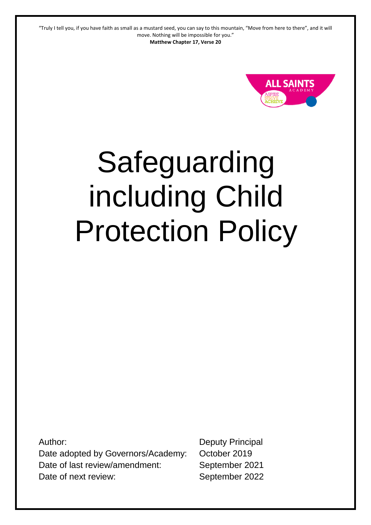

# Safeguarding including Child Protection Policy

Author: Date adopted by Governors/Academy: Date of last review/amendment: Date of next review:

Deputy Principal October 2019 September 2021 September 2022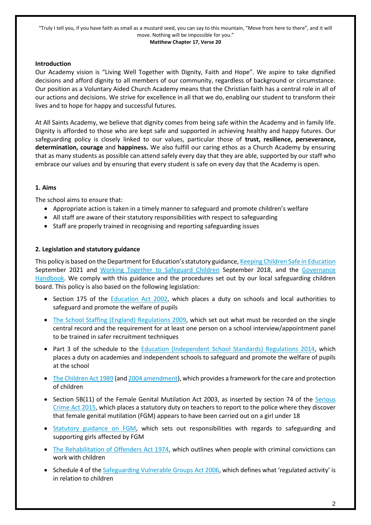## **Introduction**

Our Academy vision is "Living Well Together with Dignity, Faith and Hope". We aspire to take dignified decisions and afford dignity to all members of our community, regardless of background or circumstance. Our position as a Voluntary Aided Church Academy means that the Christian faith has a central role in all of our actions and decisions. We strive for excellence in all that we do, enabling our student to transform their lives and to hope for happy and successful futures.

At All Saints Academy, we believe that dignity comes from being safe within the Academy and in family life. Dignity is afforded to those who are kept safe and supported in achieving healthy and happy futures. Our safeguarding policy is closely linked to our values, particular those of **trust, resilience, perseverance, determination, courage** and **happiness.** We also fulfill our caring ethos as a Church Academy by ensuring that as many students as possible can attend safely every day that they are able, supported by our staff who embrace our values and by ensuring that every student is safe on every day that the Academy is open.

# **1. Aims**

The school aims to ensure that:

- Appropriate action is taken in a timely manner to safeguard and promote children's welfare
- All staff are aware of their statutory responsibilities with respect to safeguarding
- Staff are properly trained in recognising and reporting safeguarding issues

# **2. Legislation and statutory guidance**

This policy is based on the Department for Education's statutory guidance, [Keeping Children Safe in Education](https://www.gov.uk/government/publications/keeping-children-safe-in-education--2) September 2021 and [Working Together to Safeguard Children](https://www.gov.uk/government/publications/working-together-to-safeguard-children--2) September 2018, and the [Governance](https://www.gov.uk/government/publications/governance-handbook)  [Handbook.](https://www.gov.uk/government/publications/governance-handbook) We comply with this guidance and the procedures set out by our local safeguarding children board. This policy is also based on the following legislation:

- Section 175 of the [Education Act 2002,](http://www.legislation.gov.uk/ukpga/2002/32/section/175) which places a duty on schools and local authorities to safeguard and promote the welfare of pupils
- [The School Staffing \(England\) Regulations 2009,](http://www.legislation.gov.uk/uksi/2009/2680/contents/made) which set out what must be recorded on the single central record and the requirement for at least one person on a school interview/appointment panel to be trained in safer recruitment techniques
- Part 3 of the schedule to the [Education \(Independent School Standards\) Regulations 2014,](http://www.legislation.gov.uk/uksi/2014/3283/schedule/part/3/made) which places a duty on academies and independent schools to safeguard and promote the welfare of pupils at the school
- [The Children Act 1989](http://www.legislation.gov.uk/ukpga/1989/41) (an[d 2004 amendment\)](http://www.legislation.gov.uk/ukpga/2004/31/contents), which provides a framework for the care and protection of children
- Section 5B(11) of the Female Genital Mutilation Act 2003, as inserted by section 74 of the Serious [Crime Act 2015,](http://www.legislation.gov.uk/ukpga/2015/9/part/5/crossheading/female-genital-mutilation) which places a statutory duty on teachers to report to the police where they discover that female genital mutilation (FGM) appears to have been carried out on a girl under 18
- [Statutory guidance on FGM,](https://www.gov.uk/government/uploads/system/uploads/attachment_data/file/512906/Multi_Agency_Statutory_Guidance_on_FGM__-_FINAL.pdf) which sets out responsibilities with regards to safeguarding and supporting girls affected by FGM
- [The Rehabilitation of Offenders Act 1974,](http://www.legislation.gov.uk/ukpga/1974/53) which outlines when people with criminal convictions can work with children
- Schedule 4 of the [Safeguarding Vulnerable Groups Act 2006](http://www.legislation.gov.uk/ukpga/2006/47/schedule/4), which defines what 'regulated activity' is in relation to children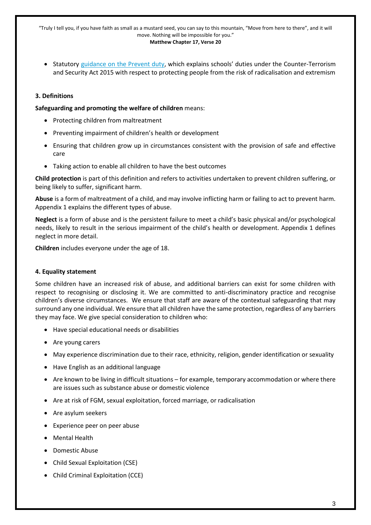• Statutory [guidance on the Prevent duty](https://www.gov.uk/government/publications/prevent-duty-guidance), which explains schools' duties under the Counter-Terrorism and Security Act 2015 with respect to protecting people from the risk of radicalisation and extremism

## **3. Definitions**

**Safeguarding and promoting the welfare of children** means:

- Protecting children from maltreatment
- Preventing impairment of children's health or development
- Ensuring that children grow up in circumstances consistent with the provision of safe and effective care
- Taking action to enable all children to have the best outcomes

**Child protection** is part of this definition and refers to activities undertaken to prevent children suffering, or being likely to suffer, significant harm.

**Abuse** is a form of maltreatment of a child, and may involve inflicting harm or failing to act to prevent harm. Appendix 1 explains the different types of abuse.

**Neglect** is a form of abuse and is the persistent failure to meet a child's basic physical and/or psychological needs, likely to result in the serious impairment of the child's health or development. Appendix 1 defines neglect in more detail.

**Children** includes everyone under the age of 18.

## **4. Equality statement**

Some children have an increased risk of abuse, and additional barriers can exist for some children with respect to recognising or disclosing it. We are committed to anti-discriminatory practice and recognise children's diverse circumstances. We ensure that staff are aware of the contextual safeguarding that may surround any one individual. We ensure that all children have the same protection, regardless of any barriers they may face. We give special consideration to children who:

- Have special educational needs or disabilities
- Are young carers
- May experience discrimination due to their race, ethnicity, religion, gender identification or sexuality
- Have English as an additional language
- Are known to be living in difficult situations for example, temporary accommodation or where there are issues such as substance abuse or domestic violence
- Are at risk of FGM, sexual exploitation, forced marriage, or radicalisation
- Are asylum seekers
- Experience peer on peer abuse
- Mental Health
- Domestic Abuse
- Child Sexual Exploitation (CSE)
- Child Criminal Exploitation (CCE)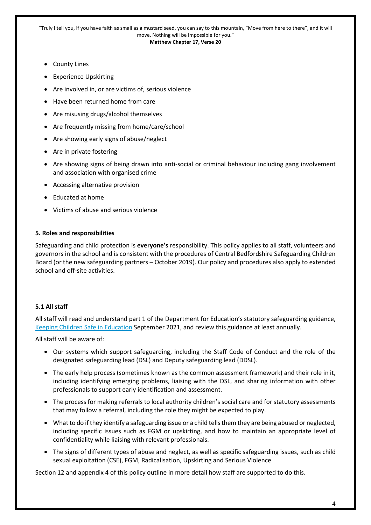- County Lines
- Experience Upskirting
- Are involved in, or are victims of, serious violence
- Have been returned home from care
- Are misusing drugs/alcohol themselves
- Are frequently missing from home/care/school
- Are showing early signs of abuse/neglect
- Are in private fostering
- Are showing signs of being drawn into anti-social or criminal behaviour including gang involvement and association with organised crime
- Accessing alternative provision
- Educated at home
- Victims of abuse and serious violence

## **5. Roles and responsibilities**

Safeguarding and child protection is **everyone's** responsibility. This policy applies to all staff, volunteers and governors in the school and is consistent with the procedures of Central Bedfordshire Safeguarding Children Board (or the new safeguarding partners – October 2019). Our policy and procedures also apply to extended school and off-site activities.

# **5.1 All staff**

All staff will read and understand part 1 of the Department for Education's statutory safeguarding guidance, [Keeping Children Safe in Education](https://www.gov.uk/government/publications/keeping-children-safe-in-education--2) September 2021, and review this guidance at least annually.

All staff will be aware of:

- Our systems which support safeguarding, including the Staff Code of Conduct and the role of the designated safeguarding lead (DSL) and Deputy safeguarding lead (DDSL).
- The early help process (sometimes known as the common assessment framework) and their role in it, including identifying emerging problems, liaising with the DSL, and sharing information with other professionals to support early identification and assessment.
- The process for making referrals to local authority children's social care and for statutory assessments that may follow a referral, including the role they might be expected to play.
- What to do if they identify a safeguarding issue or a child tells them they are being abused or neglected, including specific issues such as FGM or upskirting, and how to maintain an appropriate level of confidentiality while liaising with relevant professionals.
- The signs of different types of abuse and neglect, as well as specific safeguarding issues, such as child sexual exploitation (CSE), FGM, Radicalisation, Upskirting and Serious Violence

Section 12 and appendix 4 of this policy outline in more detail how staff are supported to do this.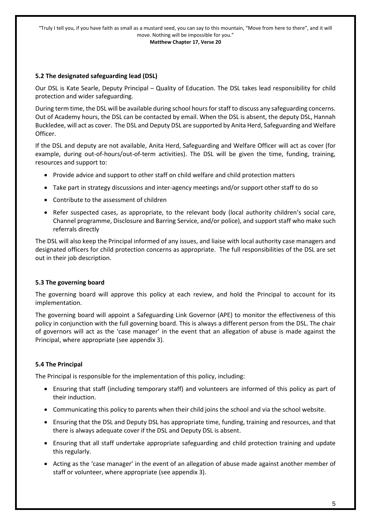## **5.2 The designated safeguarding lead (DSL)**

Our DSL is Kate Searle, Deputy Principal – Quality of Education. The DSL takes lead responsibility for child protection and wider safeguarding.

During term time, the DSL will be available during school hours for staff to discuss any safeguarding concerns. Out of Academy hours, the DSL can be contacted by email. When the DSL is absent, the deputy DSL, Hannah Buckledee, will act as cover. The DSL and Deputy DSL are supported by Anita Herd, Safeguarding and Welfare Officer.

If the DSL and deputy are not available, Anita Herd, Safeguarding and Welfare Officer will act as cover (for example, during out-of-hours/out-of-term activities). The DSL will be given the time, funding, training, resources and support to:

- Provide advice and support to other staff on child welfare and child protection matters
- Take part in strategy discussions and inter-agency meetings and/or support other staff to do so
- Contribute to the assessment of children
- Refer suspected cases, as appropriate, to the relevant body (local authority children's social care, Channel programme, Disclosure and Barring Service, and/or police), and support staff who make such referrals directly

The DSL will also keep the Principal informed of any issues, and liaise with local authority case managers and designated officers for child protection concerns as appropriate. The full responsibilities of the DSL are set out in their job description.

## **5.3 The governing board**

The governing board will approve this policy at each review, and hold the Principal to account for its implementation.

The governing board will appoint a Safeguarding Link Governor (APE) to monitor the effectiveness of this policy in conjunction with the full governing board. This is always a different person from the DSL. The chair of governors will act as the 'case manager' in the event that an allegation of abuse is made against the Principal, where appropriate (see appendix 3).

# **5.4 The Principal**

The Principal is responsible for the implementation of this policy, including:

- Ensuring that staff (including temporary staff) and volunteers are informed of this policy as part of their induction.
- Communicating this policy to parents when their child joins the school and via the school website.
- Ensuring that the DSL and Deputy DSL has appropriate time, funding, training and resources, and that there is always adequate cover if the DSL and Deputy DSL is absent.
- Ensuring that all staff undertake appropriate safeguarding and child protection training and update this regularly.
- Acting as the 'case manager' in the event of an allegation of abuse made against another member of staff or volunteer, where appropriate (see appendix 3).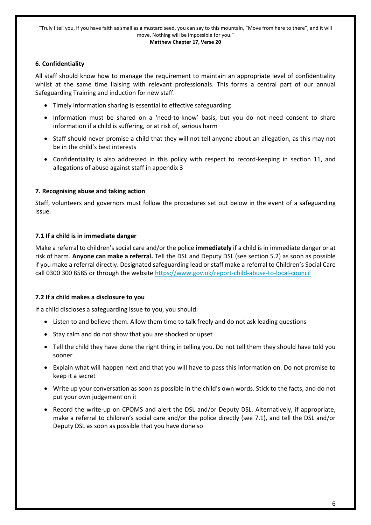## **6. Confidentiality**

All staff should know how to manage the requirement to maintain an appropriate level of confidentiality whilst at the same time liaising with relevant professionals. This forms a central part of our annual Safeguarding Training and induction for new staff.

- Timely information sharing is essential to effective safeguarding
- Information must be shared on a 'need-to-know' basis, but you do not need consent to share information if a child is suffering, or at risk of, serious harm
- Staff should never promise a child that they will not tell anyone about an allegation, as this may not be in the child's best interests
- Confidentiality is also addressed in this policy with respect to record-keeping in section 11, and allegations of abuse against staff in appendix 3

## **7. Recognising abuse and taking action**

Staff, volunteers and governors must follow the procedures set out below in the event of a safeguarding issue.

## **7.1 If a child is in immediate danger**

Make a referral to children's social care and/or the police **immediately** if a child is in immediate danger or at risk of harm. **Anyone can make a referral.** Tell the DSL and Deputy DSL (see section 5.2) as soon as possible if you make a referral directly. Designated safeguarding lead or staff make a referral to Children's Social Care call 0300 300 8585 or through the website<https://www.gov.uk/report-child-abuse-to-local-council>

## **7.2 If a child makes a disclosure to you**

If a child discloses a safeguarding issue to you, you should:

- Listen to and believe them. Allow them time to talk freely and do not ask leading questions
- Stay calm and do not show that you are shocked or upset
- Tell the child they have done the right thing in telling you. Do not tell them they should have told you sooner
- Explain what will happen next and that you will have to pass this information on. Do not promise to keep it a secret
- Write up your conversation as soon as possible in the child's own words. Stick to the facts, and do not put your own judgement on it
- Record the write-up on CPOMS and alert the DSL and/or Deputy DSL. Alternatively, if appropriate, make a referral to children's social care and/or the police directly (see 7.1), and tell the DSL and/or Deputy DSL as soon as possible that you have done so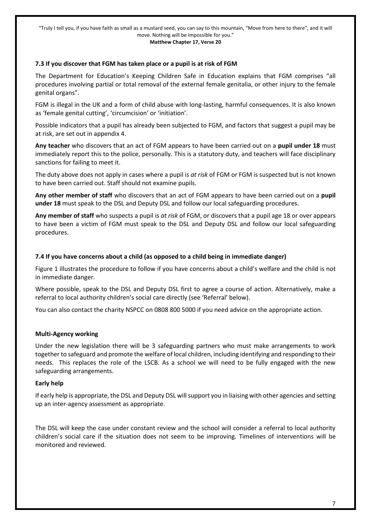#### **Matthew Chapter 17, Verse 20**

## **7.3 If you discover that FGM has taken place or a pupil is at risk of FGM**

The Department for Education's Keeping Children Safe in Education explains that FGM comprises "all procedures involving partial or total removal of the external female genitalia, or other injury to the female genital organs".

FGM is illegal in the UK and a form of child abuse with long-lasting, harmful consequences. It is also known as 'female genital cutting', 'circumcision' or 'initiation'.

Possible indicators that a pupil has already been subjected to FGM, and factors that suggest a pupil may be at risk, are set out in appendix 4.

**Any teacher** who discovers that an act of FGM appears to have been carried out on a **pupil under 18** must immediately report this to the police, personally. This is a statutory duty, and teachers will face disciplinary sanctions for failing to meet it.

The duty above does not apply in cases where a pupil is *at risk* of FGM or FGM is suspected but is not known to have been carried out. Staff should not examine pupils.

**Any other member of staff** who discovers that an act of FGM appears to have been carried out on a **pupil under 18** must speak to the DSL and Deputy DSL and follow our local safeguarding procedures.

**Any member of staff** who suspects a pupil is *at risk* of FGM, or discovers that a pupil age 18 or over appears to have been a victim of FGM must speak to the DSL and Deputy DSL and follow our local safeguarding procedures.

## **7.4 If you have concerns about a child (as opposed to a child being in immediate danger)**

Figure 1 illustrates the procedure to follow if you have concerns about a child's welfare and the child is not in immediate danger.

Where possible, speak to the DSL and Deputy DSL first to agree a course of action. Alternatively, make a referral to local authority children's social care directly (see 'Referral' below).

You can also contact the charity NSPCC on 0808 800 5000 if you need advice on the appropriate action.

## **Multi-Agency working**

Under the new legislation there will be 3 safeguarding partners who must make arrangements to work together to safeguard and promote the welfare of local children, including identifying and responding to their needs. This replaces the role of the LSCB. As a school we will need to be fully engaged with the new safeguarding arrangements.

## **Early help**

If early help is appropriate, the DSL and Deputy DSL will support you in liaising with other agencies and setting up an inter-agency assessment as appropriate.

The DSL will keep the case under constant review and the school will consider a referral to local authority children's social care if the situation does not seem to be improving. Timelines of interventions will be monitored and reviewed.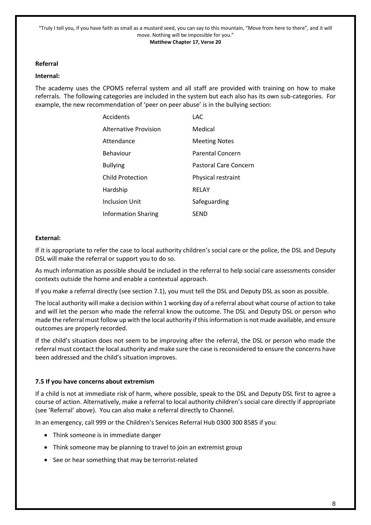#### **Referral**

#### **Internal:**

The academy uses the CPOMS referral system and all staff are provided with training on how to make referrals. The following categories are included in the system but each also has its own sub-categories. For example, the new recommendation of 'peer on peer abuse' is in the bullying section:

| Accidents                  | LAC                   |
|----------------------------|-----------------------|
| Alternative Provision      | Medical               |
| Attendance                 | <b>Meeting Notes</b>  |
| Behaviour                  | Parental Concern      |
| <b>Bullying</b>            | Pastoral Care Concern |
| <b>Child Protection</b>    | Physical restraint    |
| Hardship                   | RELAY                 |
| Inclusion Unit             | Safeguarding          |
| <b>Information Sharing</b> | SEND                  |

#### **External:**

If it is appropriate to refer the case to local authority children's social care or the police, the DSL and Deputy DSL will make the referral or support you to do so.

As much information as possible should be included in the referral to help social care assessments consider contexts outside the home and enable a contextual approach.

If you make a referral directly (see section 7.1), you must tell the DSL and Deputy DSL as soon as possible.

The local authority will make a decision within 1 working day of a referral about what course of action to take and will let the person who made the referral know the outcome. The DSL and Deputy DSL or person who made the referral must follow up with the local authority if this information is not made available, and ensure outcomes are properly recorded.

If the child's situation does not seem to be improving after the referral, the DSL or person who made the referral must contact the local authority and make sure the case is reconsidered to ensure the concerns have been addressed and the child's situation improves.

## **7.5 If you have concerns about extremism**

If a child is not at immediate risk of harm, where possible, speak to the DSL and Deputy DSL first to agree a course of action. Alternatively, make a referral to local authority children's social care directly if appropriate (see 'Referral' above). You can also make a referral directly to Channel.

In an emergency, call 999 or the Children's Services Referral Hub 0300 300 8585 if you:

- Think someone is in immediate danger
- Think someone may be planning to travel to join an extremist group
- See or hear something that may be terrorist-related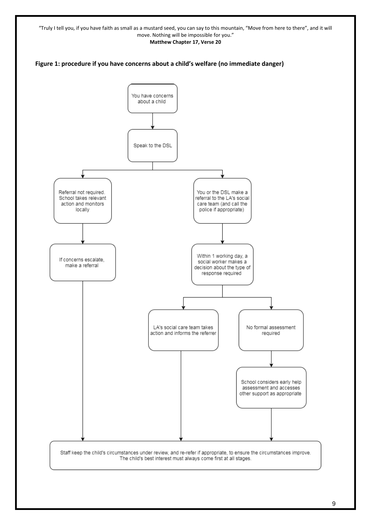

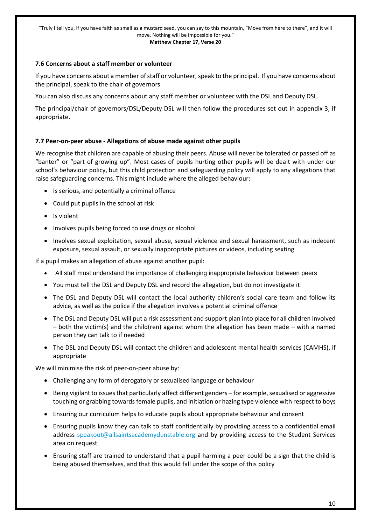## **7.6 Concerns about a staff member or volunteer**

If you have concerns about a member of staff or volunteer, speak to the principal. If you have concerns about the principal, speak to the chair of governors.

You can also discuss any concerns about any staff member or volunteer with the DSL and Deputy DSL.

The principal/chair of governors/DSL/Deputy DSL will then follow the procedures set out in appendix 3, if appropriate.

## **7.7 Peer-on-peer abuse - Allegations of abuse made against other pupils**

We recognise that children are capable of abusing their peers. Abuse will never be tolerated or passed off as "banter" or "part of growing up". Most cases of pupils hurting other pupils will be dealt with under our school's behaviour policy, but this child protection and safeguarding policy will apply to any allegations that raise safeguarding concerns. This might include where the alleged behaviour:

- Is serious, and potentially a criminal offence
- Could put pupils in the school at risk
- Is violent
- Involves pupils being forced to use drugs or alcohol
- Involves sexual exploitation, sexual abuse, sexual violence and sexual harassment, such as indecent exposure, sexual assault, or sexually inappropriate pictures or videos, including sexting

If a pupil makes an allegation of abuse against another pupil:

- All staff must understand the importance of challenging inappropriate behaviour between peers
- You must tell the DSL and Deputy DSL and record the allegation, but do not investigate it
- The DSL and Deputy DSL will contact the local authority children's social care team and follow its advice, as well as the police if the allegation involves a potential criminal offence
- The DSL and Deputy DSL will put a risk assessment and support plan into place for all children involved – both the victim(s) and the child(ren) against whom the allegation has been made – with a named person they can talk to if needed
- The DSL and Deputy DSL will contact the children and adolescent mental health services (CAMHS), if appropriate

We will minimise the risk of peer-on-peer abuse by:

- Challenging any form of derogatory or sexualised language or behaviour
- Being vigilant to issues that particularly affect different genders for example, sexualised or aggressive touching or grabbing towards female pupils, and initiation or hazing type violence with respect to boys
- Ensuring our curriculum helps to educate pupils about appropriate behaviour and consent
- Ensuring pupils know they can talk to staff confidentially by providing access to a confidential email address [speakout@allsaintsacademydunstable.org](mailto:speakout@allsaintsacademydunstable.org) and by providing access to the Student Services area on request.
- Ensuring staff are trained to understand that a pupil harming a peer could be a sign that the child is being abused themselves, and that this would fall under the scope of this policy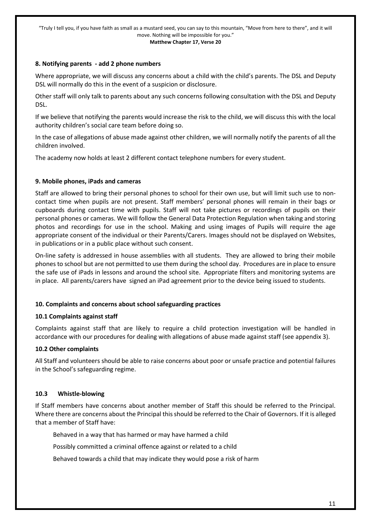## **8. Notifying parents - add 2 phone numbers**

Where appropriate, we will discuss any concerns about a child with the child's parents. The DSL and Deputy DSL will normally do this in the event of a suspicion or disclosure.

Other staff will only talk to parents about any such concerns following consultation with the DSL and Deputy DSL.

If we believe that notifying the parents would increase the risk to the child, we will discuss this with the local authority children's social care team before doing so.

In the case of allegations of abuse made against other children, we will normally notify the parents of all the children involved.

The academy now holds at least 2 different contact telephone numbers for every student.

## **9. Mobile phones, iPads and cameras**

Staff are allowed to bring their personal phones to school for their own use, but will limit such use to noncontact time when pupils are not present. Staff members' personal phones will remain in their bags or cupboards during contact time with pupils. Staff will not take pictures or recordings of pupils on their personal phones or cameras. We will follow the General Data Protection Regulation when taking and storing photos and recordings for use in the school. Making and using images of Pupils will require the age appropriate consent of the individual or their Parents/Carers. Images should not be displayed on Websites, in publications or in a public place without such consent.

On-line safety is addressed in house assemblies with all students. They are allowed to bring their mobile phones to school but are not permitted to use them during the school day. Procedures are in place to ensure the safe use of iPads in lessons and around the school site. Appropriate filters and monitoring systems are in place. All parents/carers have signed an iPad agreement prior to the device being issued to students.

## **10. Complaints and concerns about school safeguarding practices**

#### **10.1 Complaints against staff**

Complaints against staff that are likely to require a child protection investigation will be handled in accordance with our procedures for dealing with allegations of abuse made against staff (see appendix 3).

## **10.2 Other complaints**

All Staff and volunteers should be able to raise concerns about poor or unsafe practice and potential failures in the School's safeguarding regime.

## **10.3 Whistle-blowing**

If Staff members have concerns about another member of Staff this should be referred to the Principal. Where there are concerns about the Principal this should be referred to the Chair of Governors. If it is alleged that a member of Staff have:

Behaved in a way that has harmed or may have harmed a child

Possibly committed a criminal offence against or related to a child

Behaved towards a child that may indicate they would pose a risk of harm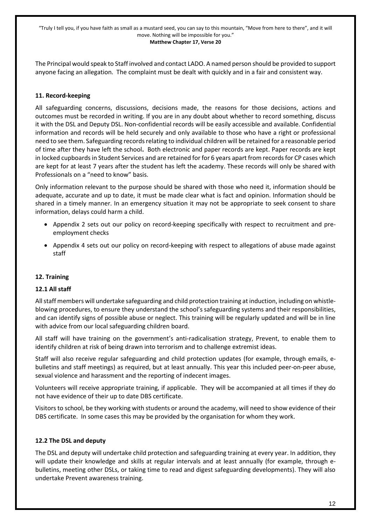The Principal would speak to Staff involved and contact LADO. A named person should be provided to support anyone facing an allegation. The complaint must be dealt with quickly and in a fair and consistent way.

## **11. Record-keeping**

All safeguarding concerns, discussions, decisions made, the reasons for those decisions, actions and outcomes must be recorded in writing. If you are in any doubt about whether to record something, discuss it with the DSL and Deputy DSL. Non-confidential records will be easily accessible and available. Confidential information and records will be held securely and only available to those who have a right or professional need to see them. Safeguarding records relating to individual children will be retained for a reasonable period of time after they have left the school**.** Both electronic and paper records are kept. Paper records are kept in locked cupboards in Student Services and are retained for for 6 years apart from records for CP cases which are kept for at least 7 years after the student has left the academy. These records will only be shared with Professionals on a "need to know" basis.

Only information relevant to the purpose should be shared with those who need it, information should be adequate, accurate and up to date, it must be made clear what is fact and opinion. Information should be shared in a timely manner. In an emergency situation it may not be appropriate to seek consent to share information, delays could harm a child.

- Appendix 2 sets out our policy on record-keeping specifically with respect to recruitment and preemployment checks
- Appendix 4 sets out our policy on record-keeping with respect to allegations of abuse made against staff

## **12. Training**

## **12.1 All staff**

All staff members will undertake safeguarding and child protection training at induction, including on whistleblowing procedures, to ensure they understand the school's safeguarding systems and their responsibilities, and can identify signs of possible abuse or neglect. This training will be regularly updated and will be in line with advice from our local safeguarding children board.

All staff will have training on the government's anti-radicalisation strategy, Prevent, to enable them to identify children at risk of being drawn into terrorism and to challenge extremist ideas.

Staff will also receive regular safeguarding and child protection updates (for example, through emails, ebulletins and staff meetings) as required, but at least annually. This year this included peer-on-peer abuse, sexual violence and harassment and the reporting of indecent images.

Volunteers will receive appropriate training, if applicable. They will be accompanied at all times if they do not have evidence of their up to date DBS certificate.

Visitors to school, be they working with students or around the academy, will need to show evidence of their DBS certificate. In some cases this may be provided by the organisation for whom they work.

## **12.2 The DSL and deputy**

The DSL and deputy will undertake child protection and safeguarding training at every year. In addition, they will update their knowledge and skills at regular intervals and at least annually (for example, through ebulletins, meeting other DSLs, or taking time to read and digest safeguarding developments). They will also undertake Prevent awareness training.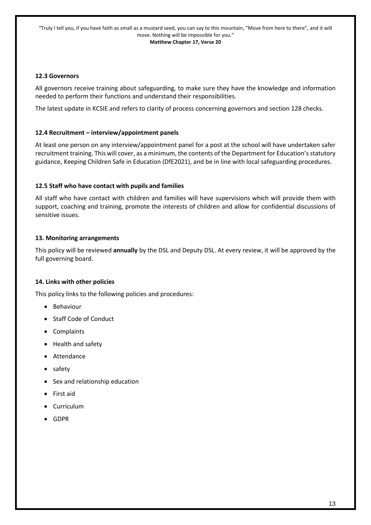## **12.3 Governors**

All governors receive training about safeguarding, to make sure they have the knowledge and information needed to perform their functions and understand their responsibilities.

The latest update in KCSIE and refers to clarity of process concerning governors and section 128 checks.

## **12.4 Recruitment – interview/appointment panels**

At least one person on any interview/appointment panel for a post at the school will have undertaken safer recruitment training. This will cover, as a minimum, the contents of the Department for Education's statutory guidance, Keeping Children Safe in Education (DfE2021), and be in line with local safeguarding procedures.

## **12.5 Staff who have contact with pupils and families**

All staff who have contact with children and families will have supervisions which will provide them with support, coaching and training, promote the interests of children and allow for confidential discussions of sensitive issues.

## **13. Monitoring arrangements**

This policy will be reviewed **annually** by the DSL and Deputy DSL. At every review, it will be approved by the full governing board.

## **14. Links with other policies**

This policy links to the following policies and procedures:

- Behaviour
- Staff Code of Conduct
- Complaints
- Health and safety
- Attendance
- safety
- Sex and relationship education
- First aid
- Curriculum
- GDPR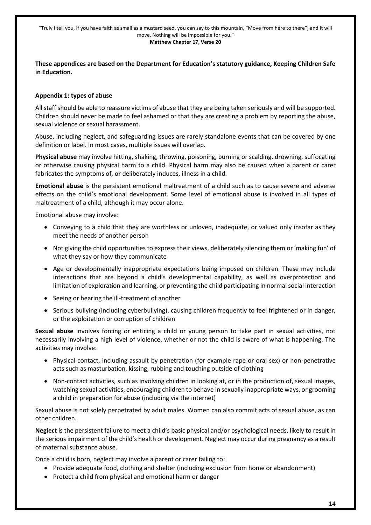**These appendices are based on the Department for Education's statutory guidance, Keeping Children Safe in Education.**

## **Appendix 1: types of abuse**

All staff should be able to reassure victims of abuse that they are being taken seriously and will be supported. Children should never be made to feel ashamed or that they are creating a problem by reporting the abuse, sexual violence or sexual harassment.

Abuse, including neglect, and safeguarding issues are rarely standalone events that can be covered by one definition or label. In most cases, multiple issues will overlap.

**Physical abuse** may involve hitting, shaking, throwing, poisoning, burning or scalding, drowning, suffocating or otherwise causing physical harm to a child. Physical harm may also be caused when a parent or carer fabricates the symptoms of, or deliberately induces, illness in a child.

**Emotional abuse** is the persistent emotional maltreatment of a child such as to cause severe and adverse effects on the child's emotional development. Some level of emotional abuse is involved in all types of maltreatment of a child, although it may occur alone.

Emotional abuse may involve:

- Conveying to a child that they are worthless or unloved, inadequate, or valued only insofar as they meet the needs of another person
- Not giving the child opportunities to express their views, deliberately silencing them or 'making fun' of what they say or how they communicate
- Age or developmentally inappropriate expectations being imposed on children. These may include interactions that are beyond a child's developmental capability, as well as overprotection and limitation of exploration and learning, or preventing the child participating in normal social interaction
- Seeing or hearing the ill-treatment of another
- Serious bullying (including cyberbullying), causing children frequently to feel frightened or in danger, or the exploitation or corruption of children

**Sexual abuse** involves forcing or enticing a child or young person to take part in sexual activities, not necessarily involving a high level of violence, whether or not the child is aware of what is happening. The activities may involve:

- Physical contact, including assault by penetration (for example rape or oral sex) or non-penetrative acts such as masturbation, kissing, rubbing and touching outside of clothing
- Non-contact activities, such as involving children in looking at, or in the production of, sexual images, watching sexual activities, encouraging children to behave in sexually inappropriate ways, or grooming a child in preparation for abuse (including via the internet)

Sexual abuse is not solely perpetrated by adult males. Women can also commit acts of sexual abuse, as can other children.

**Neglect** is the persistent failure to meet a child's basic physical and/or psychological needs, likely to result in the serious impairment of the child's health or development. Neglect may occur during pregnancy as a result of maternal substance abuse.

Once a child is born, neglect may involve a parent or carer failing to:

- Provide adequate food, clothing and shelter (including exclusion from home or abandonment)
- Protect a child from physical and emotional harm or danger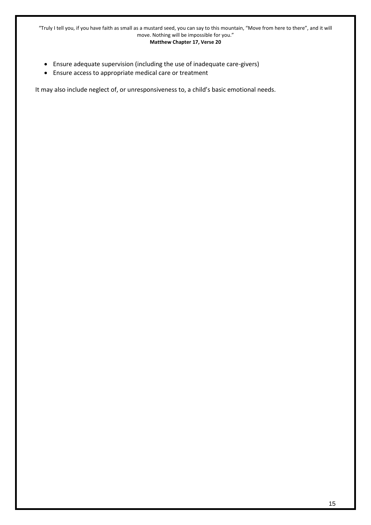- Ensure adequate supervision (including the use of inadequate care-givers)
- Ensure access to appropriate medical care or treatment

It may also include neglect of, or unresponsiveness to, a child's basic emotional needs.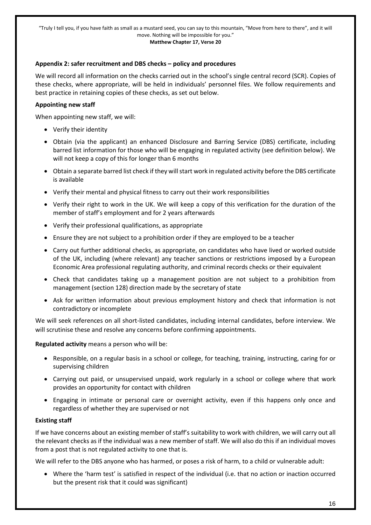#### **Matthew Chapter 17, Verse 20**

# **Appendix 2: safer recruitment and DBS checks – policy and procedures**

We will record all information on the checks carried out in the school's single central record (SCR). Copies of these checks, where appropriate, will be held in individuals' personnel files. We follow requirements and best practice in retaining copies of these checks, as set out below.

# **Appointing new staff**

When appointing new staff, we will:

- Verify their identity
- Obtain (via the applicant) an enhanced Disclosure and Barring Service (DBS) certificate, including barred list information for those who will be engaging in regulated activity (see definition below). We will not keep a copy of this for longer than 6 months
- Obtain a separate barred list check if they will start work in regulated activity before the DBS certificate is available
- Verify their mental and physical fitness to carry out their work responsibilities
- Verify their right to work in the UK. We will keep a copy of this verification for the duration of the member of staff's employment and for 2 years afterwards
- Verify their professional qualifications, as appropriate
- Ensure they are not subject to a prohibition order if they are employed to be a teacher
- Carry out further additional checks, as appropriate, on candidates who have lived or worked outside of the UK, including (where relevant) any teacher sanctions or restrictions imposed by a European Economic Area professional regulating authority, and criminal records checks or their equivalent
- Check that candidates taking up a management position are not subject to a prohibition from management (section 128) direction made by the secretary of state
- Ask for written information about previous employment history and check that information is not contradictory or incomplete

We will seek references on all short-listed candidates, including internal candidates, before interview. We will scrutinise these and resolve any concerns before confirming appointments.

**Regulated activity** means a person who will be:

- Responsible, on a regular basis in a school or college, for teaching, training, instructing, caring for or supervising children
- Carrying out paid, or unsupervised unpaid, work regularly in a school or college where that work provides an opportunity for contact with children
- Engaging in intimate or personal care or overnight activity, even if this happens only once and regardless of whether they are supervised or not

# **Existing staff**

If we have concerns about an existing member of staff's suitability to work with children, we will carry out all the relevant checks as if the individual was a new member of staff. We will also do this if an individual moves from a post that is not regulated activity to one that is.

We will refer to the DBS anyone who has harmed, or poses a risk of harm, to a child or vulnerable adult:

 Where the 'harm test' is satisfied in respect of the individual (i.e. that no action or inaction occurred but the present risk that it could was significant)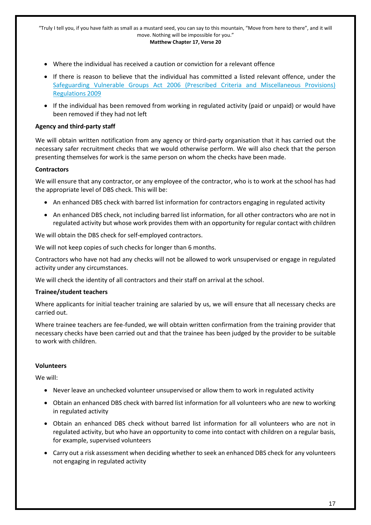- Where the individual has received a caution or conviction for a relevant offence
- If there is reason to believe that the individual has committed a listed relevant offence, under the [Safeguarding Vulnerable Groups Act 2006 \(Prescribed Criteria and Miscellaneous Provisions\)](http://www.legislation.gov.uk/uksi/2009/37/contents/made)  [Regulations 2009](http://www.legislation.gov.uk/uksi/2009/37/contents/made)
- If the individual has been removed from working in regulated activity (paid or unpaid) or would have been removed if they had not left

## **Agency and third-party staff**

We will obtain written notification from any agency or third-party organisation that it has carried out the necessary safer recruitment checks that we would otherwise perform. We will also check that the person presenting themselves for work is the same person on whom the checks have been made.

## **Contractors**

We will ensure that any contractor, or any employee of the contractor, who is to work at the school has had the appropriate level of DBS check. This will be:

- An enhanced DBS check with barred list information for contractors engaging in regulated activity
- An enhanced DBS check, not including barred list information, for all other contractors who are not in regulated activity but whose work provides them with an opportunity for regular contact with children

We will obtain the DBS check for self-employed contractors.

We will not keep copies of such checks for longer than 6 months.

Contractors who have not had any checks will not be allowed to work unsupervised or engage in regulated activity under any circumstances.

We will check the identity of all contractors and their staff on arrival at the school.

## **Trainee/student teachers**

Where applicants for initial teacher training are salaried by us, we will ensure that all necessary checks are carried out.

Where trainee teachers are fee-funded, we will obtain written confirmation from the training provider that necessary checks have been carried out and that the trainee has been judged by the provider to be suitable to work with children.

## **Volunteers**

We will:

- Never leave an unchecked volunteer unsupervised or allow them to work in regulated activity
- Obtain an enhanced DBS check with barred list information for all volunteers who are new to working in regulated activity
- Obtain an enhanced DBS check without barred list information for all volunteers who are not in regulated activity, but who have an opportunity to come into contact with children on a regular basis, for example, supervised volunteers
- Carry out a risk assessment when deciding whether to seek an enhanced DBS check for any volunteers not engaging in regulated activity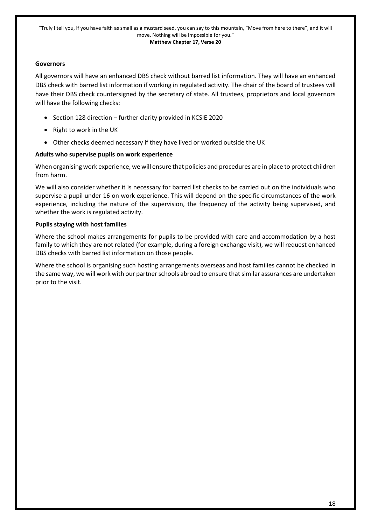## **Governors**

All governors will have an enhanced DBS check without barred list information. They will have an enhanced DBS check with barred list information if working in regulated activity. The chair of the board of trustees will have their DBS check countersigned by the secretary of state. All trustees, proprietors and local governors will have the following checks:

- Section 128 direction further clarity provided in KCSIE 2020
- Right to work in the UK
- Other checks deemed necessary if they have lived or worked outside the UK

## **Adults who supervise pupils on work experience**

When organising work experience, we will ensure that policies and procedures are in place to protect children from harm.

We will also consider whether it is necessary for barred list checks to be carried out on the individuals who supervise a pupil under 16 on work experience. This will depend on the specific circumstances of the work experience, including the nature of the supervision, the frequency of the activity being supervised, and whether the work is regulated activity.

## **Pupils staying with host families**

Where the school makes arrangements for pupils to be provided with care and accommodation by a host family to which they are not related (for example, during a foreign exchange visit), we will request enhanced DBS checks with barred list information on those people.

Where the school is organising such hosting arrangements overseas and host families cannot be checked in the same way, we will work with our partner schools abroad to ensure that similar assurances are undertaken prior to the visit.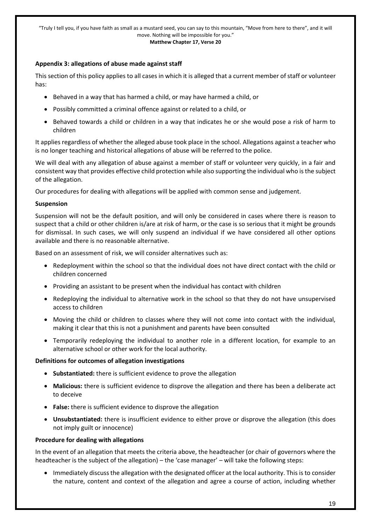#### **Matthew Chapter 17, Verse 20**

## **Appendix 3: allegations of abuse made against staff**

This section of this policy applies to all cases in which it is alleged that a current member of staff or volunteer has:

- Behaved in a way that has harmed a child, or may have harmed a child, or
- Possibly committed a criminal offence against or related to a child, or
- Behaved towards a child or children in a way that indicates he or she would pose a risk of harm to children

It applies regardless of whether the alleged abuse took place in the school. Allegations against a teacher who is no longer teaching and historical allegations of abuse will be referred to the police.

We will deal with any allegation of abuse against a member of staff or volunteer very quickly, in a fair and consistent way that provides effective child protection while also supporting the individual who is the subject of the allegation.

Our procedures for dealing with allegations will be applied with common sense and judgement.

## **Suspension**

Suspension will not be the default position, and will only be considered in cases where there is reason to suspect that a child or other children is/are at risk of harm, or the case is so serious that it might be grounds for dismissal. In such cases, we will only suspend an individual if we have considered all other options available and there is no reasonable alternative.

Based on an assessment of risk, we will consider alternatives such as:

- Redeployment within the school so that the individual does not have direct contact with the child or children concerned
- Providing an assistant to be present when the individual has contact with children
- Redeploying the individual to alternative work in the school so that they do not have unsupervised access to children
- Moving the child or children to classes where they will not come into contact with the individual, making it clear that this is not a punishment and parents have been consulted
- Temporarily redeploying the individual to another role in a different location, for example to an alternative school or other work for the local authority.

# **Definitions for outcomes of allegation investigations**

- **Substantiated:** there is sufficient evidence to prove the allegation
- **Malicious:** there is sufficient evidence to disprove the allegation and there has been a deliberate act to deceive
- **False:** there is sufficient evidence to disprove the allegation
- **Unsubstantiated:** there is insufficient evidence to either prove or disprove the allegation (this does not imply guilt or innocence)

## **Procedure for dealing with allegations**

In the event of an allegation that meets the criteria above, the headteacher (or chair of governors where the headteacher is the subject of the allegation) – the 'case manager' – will take the following steps:

 Immediately discuss the allegation with the designated officer at the local authority. This is to consider the nature, content and context of the allegation and agree a course of action, including whether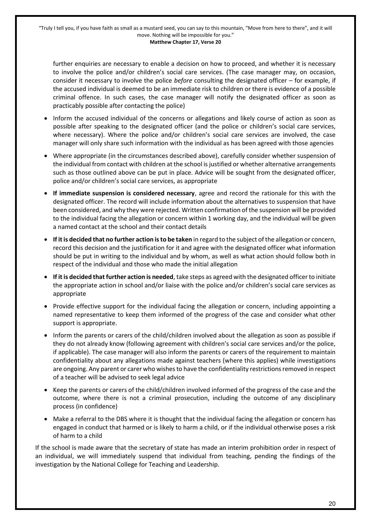further enquiries are necessary to enable a decision on how to proceed, and whether it is necessary to involve the police and/or children's social care services. (The case manager may, on occasion, consider it necessary to involve the police *before* consulting the designated officer – for example, if the accused individual is deemed to be an immediate risk to children or there is evidence of a possible criminal offence. In such cases, the case manager will notify the designated officer as soon as practicably possible after contacting the police)

- Inform the accused individual of the concerns or allegations and likely course of action as soon as possible after speaking to the designated officer (and the police or children's social care services, where necessary). Where the police and/or children's social care services are involved, the case manager will only share such information with the individual as has been agreed with those agencies
- Where appropriate (in the circumstances described above), carefully consider whether suspension of the individual from contact with children at the school is justified or whether alternative arrangements such as those outlined above can be put in place. Advice will be sought from the designated officer, police and/or children's social care services, as appropriate
- **If immediate suspension is considered necessary**, agree and record the rationale for this with the designated officer. The record will include information about the alternatives to suspension that have been considered, and why they were rejected. Written confirmation of the suspension will be provided to the individual facing the allegation or concern within 1 working day, and the individual will be given a named contact at the school and their contact details
- **If it is decided that no further action is to be taken** in regard to the subject of the allegation or concern, record this decision and the justification for it and agree with the designated officer what information should be put in writing to the individual and by whom, as well as what action should follow both in respect of the individual and those who made the initial allegation
- **If it is decided that further action is needed**, take steps as agreed with the designated officer to initiate the appropriate action in school and/or liaise with the police and/or children's social care services as appropriate
- Provide effective support for the individual facing the allegation or concern, including appointing a named representative to keep them informed of the progress of the case and consider what other support is appropriate.
- Inform the parents or carers of the child/children involved about the allegation as soon as possible if they do not already know (following agreement with children's social care services and/or the police, if applicable). The case manager will also inform the parents or carers of the requirement to maintain confidentiality about any allegations made against teachers (where this applies) while investigations are ongoing. Any parent or carer who wishes to have the confidentiality restrictions removed in respect of a teacher will be advised to seek legal advice
- Keep the parents or carers of the child/children involved informed of the progress of the case and the outcome, where there is not a criminal prosecution, including the outcome of any disciplinary process (in confidence)
- Make a referral to the DBS where it is thought that the individual facing the allegation or concern has engaged in conduct that harmed or is likely to harm a child, or if the individual otherwise poses a risk of harm to a child

If the school is made aware that the secretary of state has made an interim prohibition order in respect of an individual, we will immediately suspend that individual from teaching, pending the findings of the investigation by the National College for Teaching and Leadership.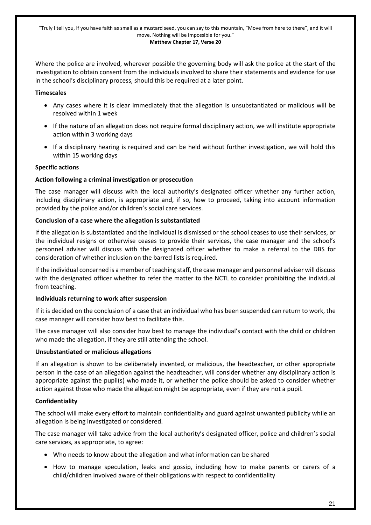Where the police are involved, wherever possible the governing body will ask the police at the start of the investigation to obtain consent from the individuals involved to share their statements and evidence for use in the school's disciplinary process, should this be required at a later point.

## **Timescales**

- Any cases where it is clear immediately that the allegation is unsubstantiated or malicious will be resolved within 1 week
- If the nature of an allegation does not require formal disciplinary action, we will institute appropriate action within 3 working days
- If a disciplinary hearing is required and can be held without further investigation, we will hold this within 15 working days

## **Specific actions**

## **Action following a criminal investigation or prosecution**

The case manager will discuss with the local authority's designated officer whether any further action, including disciplinary action, is appropriate and, if so, how to proceed, taking into account information provided by the police and/or children's social care services.

## **Conclusion of a case where the allegation is substantiated**

If the allegation is substantiated and the individual is dismissed or the school ceases to use their services, or the individual resigns or otherwise ceases to provide their services, the case manager and the school's personnel adviser will discuss with the designated officer whether to make a referral to the DBS for consideration of whether inclusion on the barred lists is required.

If the individual concerned is a member of teaching staff, the case manager and personnel adviser will discuss with the designated officer whether to refer the matter to the NCTL to consider prohibiting the individual from teaching.

## **Individuals returning to work after suspension**

If it is decided on the conclusion of a case that an individual who has been suspended can return to work, the case manager will consider how best to facilitate this.

The case manager will also consider how best to manage the individual's contact with the child or children who made the allegation, if they are still attending the school.

## **Unsubstantiated or malicious allegations**

If an allegation is shown to be deliberately invented, or malicious, the headteacher, or other appropriate person in the case of an allegation against the headteacher, will consider whether any disciplinary action is appropriate against the pupil(s) who made it, or whether the police should be asked to consider whether action against those who made the allegation might be appropriate, even if they are not a pupil.

## **Confidentiality**

The school will make every effort to maintain confidentiality and guard against unwanted publicity while an allegation is being investigated or considered.

The case manager will take advice from the local authority's designated officer, police and children's social care services, as appropriate, to agree:

- Who needs to know about the allegation and what information can be shared
- How to manage speculation, leaks and gossip, including how to make parents or carers of a child/children involved aware of their obligations with respect to confidentiality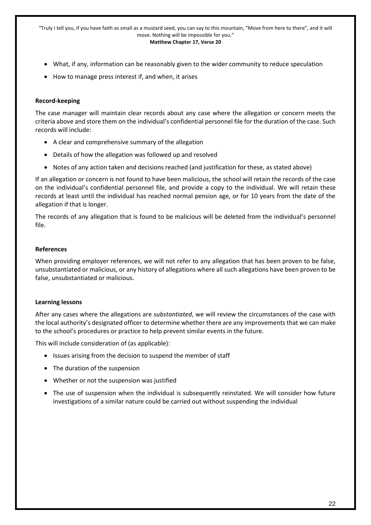- What, if any, information can be reasonably given to the wider community to reduce speculation
- How to manage press interest if, and when, it arises

## **Record-keeping**

The case manager will maintain clear records about any case where the allegation or concern meets the criteria above and store them on the individual's confidential personnel file for the duration of the case. Such records will include:

- A clear and comprehensive summary of the allegation
- Details of how the allegation was followed up and resolved
- Notes of any action taken and decisions reached (and justification for these, as stated above)

If an allegation or concern is not found to have been malicious, the school will retain the records of the case on the individual's confidential personnel file, and provide a copy to the individual. We will retain these records at least until the individual has reached normal pension age, or for 10 years from the date of the allegation if that is longer.

The records of any allegation that is found to be malicious will be deleted from the individual's personnel file.

#### **References**

When providing employer references, we will not refer to any allegation that has been proven to be false, unsubstantiated or malicious, or any history of allegations where all such allegations have been proven to be false, unsubstantiated or malicious.

## **Learning lessons**

After any cases where the allegations are *substantiated*, we will review the circumstances of the case with the local authority's designated officer to determine whether there are any improvements that we can make to the school's procedures or practice to help prevent similar events in the future.

This will include consideration of (as applicable):

- Issues arising from the decision to suspend the member of staff
- The duration of the suspension
- Whether or not the suspension was justified
- The use of suspension when the individual is subsequently reinstated. We will consider how future investigations of a similar nature could be carried out without suspending the individual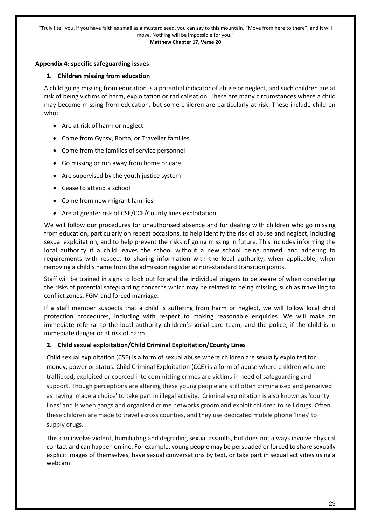## **Appendix 4: specific safeguarding issues**

## **1. Children missing from education**

A child going missing from education is a potential indicator of abuse or neglect, and such children are at risk of being victims of harm, exploitation or radicalisation. There are many circumstances where a child may become missing from education, but some children are particularly at risk. These include children who:

- Are at risk of harm or neglect
- Come from Gypsy, Roma, or Traveller families
- Come from the families of service personnel
- Go missing or run away from home or care
- Are supervised by the youth justice system
- Cease to attend a school
- Come from new migrant families
- Are at greater risk of CSE/CCE/County lines exploitation

We will follow our procedures for unauthorised absence and for dealing with children who go missing from education, particularly on repeat occasions, to help identify the risk of abuse and neglect, including sexual exploitation, and to help prevent the risks of going missing in future. This includes informing the local authority if a child leaves the school without a new school being named, and adhering to requirements with respect to sharing information with the local authority, when applicable, when removing a child's name from the admission register at non-standard transition points.

Staff will be trained in signs to look out for and the individual triggers to be aware of when considering the risks of potential safeguarding concerns which may be related to being missing, such as travelling to conflict zones, FGM and forced marriage.

If a staff member suspects that a child is suffering from harm or neglect, we will follow local child protection procedures, including with respect to making reasonable enquiries. We will make an immediate referral to the local authority children's social care team, and the police, if the child is in immediate danger or at risk of harm.

# **2. Child sexual exploitation/Child Criminal Exploitation/County Lines**

Child sexual exploitation (CSE) is a form of sexual abuse where children are sexually exploited for money, power or status. Child Criminal Exploitation (CCE) is a form of abuse where children who are trafficked, exploited or coerced into committing crimes are victims in need of safeguarding and support. Though perceptions are altering these young people are still often criminalised and perceived as having 'made a choice' to take part in illegal activity. Criminal exploitation is also known as 'county lines' and is when gangs and organised crime networks groom and exploit children to sell drugs. Often these children are made to travel across counties, and they use dedicated mobile phone 'lines' to supply drugs.

This can involve violent, humiliating and degrading sexual assaults, but does not always involve physical contact and can happen online. For example, young people may be persuaded or forced to share sexually explicit images of themselves, have sexual conversations by text, or take part in sexual activities using a webcam.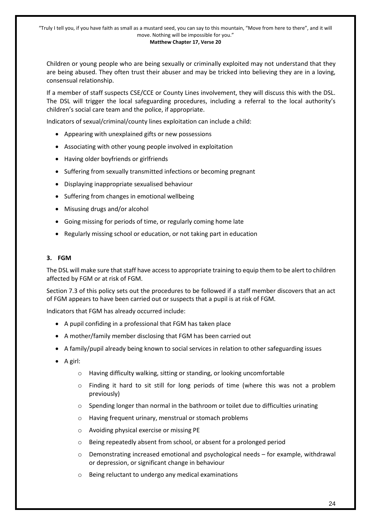Children or young people who are being sexually or criminally exploited may not understand that they are being abused. They often trust their abuser and may be tricked into believing they are in a loving, consensual relationship.

If a member of staff suspects CSE/CCE or County Lines involvement, they will discuss this with the DSL. The DSL will trigger the local safeguarding procedures, including a referral to the local authority's children's social care team and the police, if appropriate.

Indicators of sexual/criminal/county lines exploitation can include a child:

- Appearing with unexplained gifts or new possessions
- Associating with other young people involved in exploitation
- Having older boyfriends or girlfriends
- Suffering from sexually transmitted infections or becoming pregnant
- Displaying inappropriate sexualised behaviour
- Suffering from changes in emotional wellbeing
- Misusing drugs and/or alcohol
- Going missing for periods of time, or regularly coming home late
- Regularly missing school or education, or not taking part in education

## **3. FGM**

The DSL will make sure that staff have access to appropriate training to equip them to be alert to children affected by FGM or at risk of FGM.

Section 7.3 of this policy sets out the procedures to be followed if a staff member discovers that an act of FGM appears to have been carried out or suspects that a pupil is at risk of FGM.

Indicators that FGM has already occurred include:

- A pupil confiding in a professional that FGM has taken place
- A mother/family member disclosing that FGM has been carried out
- A family/pupil already being known to social services in relation to other safeguarding issues
- $\bullet$  A girl:
	- o Having difficulty walking, sitting or standing, or looking uncomfortable
	- o Finding it hard to sit still for long periods of time (where this was not a problem previously)
	- $\circ$  Spending longer than normal in the bathroom or toilet due to difficulties urinating
	- o Having frequent urinary, menstrual or stomach problems
	- o Avoiding physical exercise or missing PE
	- o Being repeatedly absent from school, or absent for a prolonged period
	- $\circ$  Demonstrating increased emotional and psychological needs for example, withdrawal or depression, or significant change in behaviour
	- o Being reluctant to undergo any medical examinations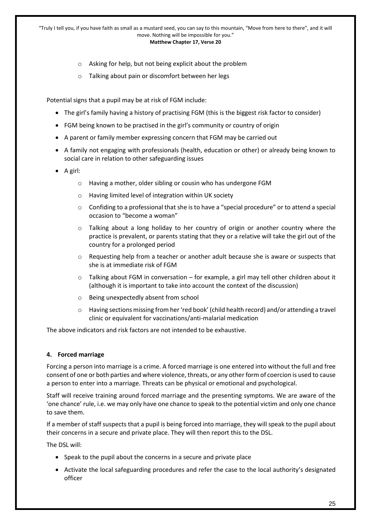- o Asking for help, but not being explicit about the problem
- o Talking about pain or discomfort between her legs

Potential signs that a pupil may be at risk of FGM include:

- The girl's family having a history of practising FGM (this is the biggest risk factor to consider)
- FGM being known to be practised in the girl's community or country of origin
- A parent or family member expressing concern that FGM may be carried out
- A family not engaging with professionals (health, education or other) or already being known to social care in relation to other safeguarding issues
- $\bullet$  A girl:
	- o Having a mother, older sibling or cousin who has undergone FGM
	- o Having limited level of integration within UK society
	- $\circ$  Confiding to a professional that she is to have a "special procedure" or to attend a special occasion to "become a woman"
	- $\circ$  Talking about a long holiday to her country of origin or another country where the practice is prevalent, or parents stating that they or a relative will take the girl out of the country for a prolonged period
	- $\circ$  Requesting help from a teacher or another adult because she is aware or suspects that she is at immediate risk of FGM
	- $\circ$  Talking about FGM in conversation for example, a girl may tell other children about it (although it is important to take into account the context of the discussion)
	- o Being unexpectedly absent from school
	- o Having sections missing from her 'red book' (child health record) and/or attending a travel clinic or equivalent for vaccinations/anti-malarial medication

The above indicators and risk factors are not intended to be exhaustive.

## **4. Forced marriage**

Forcing a person into marriage is a crime. A forced marriage is one entered into without the full and free consent of one or both parties and where violence, threats, or any other form of coercion is used to cause a person to enter into a marriage. Threats can be physical or emotional and psychological.

Staff will receive training around forced marriage and the presenting symptoms. We are aware of the 'one chance' rule, i.e. we may only have one chance to speak to the potential victim and only one chance to save them.

If a member of staff suspects that a pupil is being forced into marriage, they will speak to the pupil about their concerns in a secure and private place. They will then report this to the DSL.

The DSL will:

- Speak to the pupil about the concerns in a secure and private place
- Activate the local safeguarding procedures and refer the case to the local authority's designated officer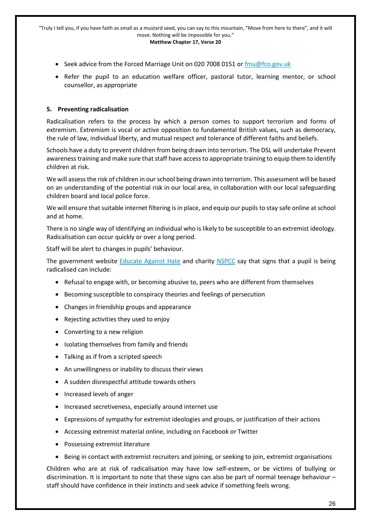- Seek advice from the Forced Marriage Unit on 020 7008 0151 or [fmu@fco.gov.uk](mailto:fmu@fco.gov.uk)
- Refer the pupil to an education welfare officer, pastoral tutor, learning mentor, or school counsellor, as appropriate

#### **5. Preventing radicalisation**

Radicalisation refers to the process by which a person comes to support terrorism and forms of extremism. Extremism is vocal or active opposition to fundamental British values, such as democracy, the rule of law, individual liberty, and mutual respect and tolerance of different faiths and beliefs.

Schools have a duty to prevent children from being drawn into terrorism. The DSL will undertake Prevent awareness training and make sure that staff have access to appropriate training to equip them to identify children at risk.

We will assess the risk of children in our school being drawn into terrorism. This assessment will be based on an understanding of the potential risk in our local area, in collaboration with our local safeguarding children board and local police force.

We will ensure that suitable internet filtering is in place, and equip our pupils to stay safe online at school and at home.

There is no single way of identifying an individual who is likely to be susceptible to an extremist ideology. Radicalisation can occur quickly or over a long period.

Staff will be alert to changes in pupils' behaviour.

The government website [Educate Against Hate](http://educateagainsthate.com/parents/what-are-the-warning-signs/) and charity [NSPCC](https://www.nspcc.org.uk/what-you-can-do/report-abuse/dedicated-helplines/protecting-children-from-radicalisation/) say that signs that a pupil is being radicalised can include:

- Refusal to engage with, or becoming abusive to, peers who are different from themselves
- Becoming susceptible to conspiracy theories and feelings of persecution
- Changes in friendship groups and appearance
- Rejecting activities they used to enjoy
- Converting to a new religion
- Isolating themselves from family and friends
- Talking as if from a scripted speech
- An unwillingness or inability to discuss their views
- A sudden disrespectful attitude towards others
- Increased levels of anger
- Increased secretiveness, especially around internet use
- Expressions of sympathy for extremist ideologies and groups, or justification of their actions
- Accessing extremist material online, including on Facebook or Twitter
- Possessing extremist literature
- Being in contact with extremist recruiters and joining, or seeking to join, extremist organisations

Children who are at risk of radicalisation may have low self-esteem, or be victims of bullying or discrimination. It is important to note that these signs can also be part of normal teenage behaviour – staff should have confidence in their instincts and seek advice if something feels wrong.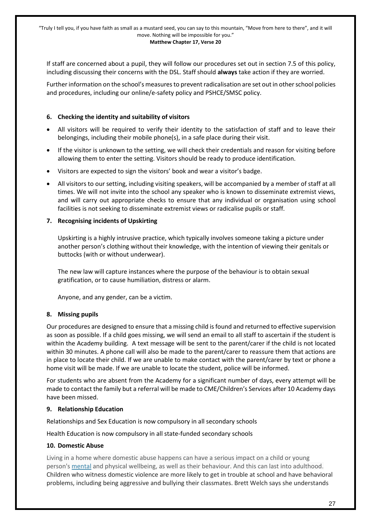If staff are concerned about a pupil, they will follow our procedures set out in section 7.5 of this policy, including discussing their concerns with the DSL. Staff should **always** take action if they are worried.

Further information on the school's measures to prevent radicalisation are set out in other school policies and procedures, including our online/e-safety policy and PSHCE/SMSC policy.

## **6. Checking the identity and suitability of visitors**

- All visitors will be required to verify their identity to the satisfaction of staff and to leave their belongings, including their mobile phone(s), in a safe place during their visit.
- If the visitor is unknown to the setting, we will check their credentials and reason for visiting before allowing them to enter the setting. Visitors should be ready to produce identification.
- Visitors are expected to sign the visitors' book and wear a visitor's badge.
- All visitors to our setting, including visiting speakers, will be accompanied by a member of staff at all times. We will not invite into the school any speaker who is known to disseminate extremist views, and will carry out appropriate checks to ensure that any individual or organisation using school facilities is not seeking to disseminate extremist views or radicalise pupils or staff.

## **7. Recognising incidents of Upskirting**

Upskirting is a highly intrusive practice, which typically involves someone taking a picture under another person's clothing without their knowledge, with the intention of viewing their genitals or buttocks (with or without underwear).

The new law will capture instances where the purpose of the behaviour is to obtain sexual gratification, or to cause humiliation, distress or alarm.

Anyone, and any gender, can be a victim.

## **8. Missing pupils**

Our procedures are designed to ensure that a missing child is found and returned to effective supervision as soon as possible. If a child goes missing, we will send an email to all staff to ascertain if the student is within the Academy building. A text message will be sent to the parent/carer if the child is not located within 30 minutes. A phone call will also be made to the parent/carer to reassure them that actions are in place to locate their child. If we are unable to make contact with the parent/carer by text or phone a home visit will be made. If we are unable to locate the student, police will be informed.

For students who are absent from the Academy for a significant number of days, every attempt will be made to contact the family but a referral will be made to CME/Children's Services after 10 Academy days have been missed.

## **9. Relationship Education**

Relationships and Sex Education is now compulsory in all secondary schools

Health Education is now compulsory in all state-funded secondary schools

## **10. Domestic Abuse**

Living in a home where domestic abuse happens can have a serious impact on a child or young person's [mental](https://www.nspcc.org.uk/keeping-children-safe/childrens-mental-health/) and physical wellbeing, as well as their behaviour. And this can last into adulthood. Children who witness domestic violence are more likely to get in trouble at school and have behavioral problems, including being aggressive and bullying their classmates. Brett Welch says she understands